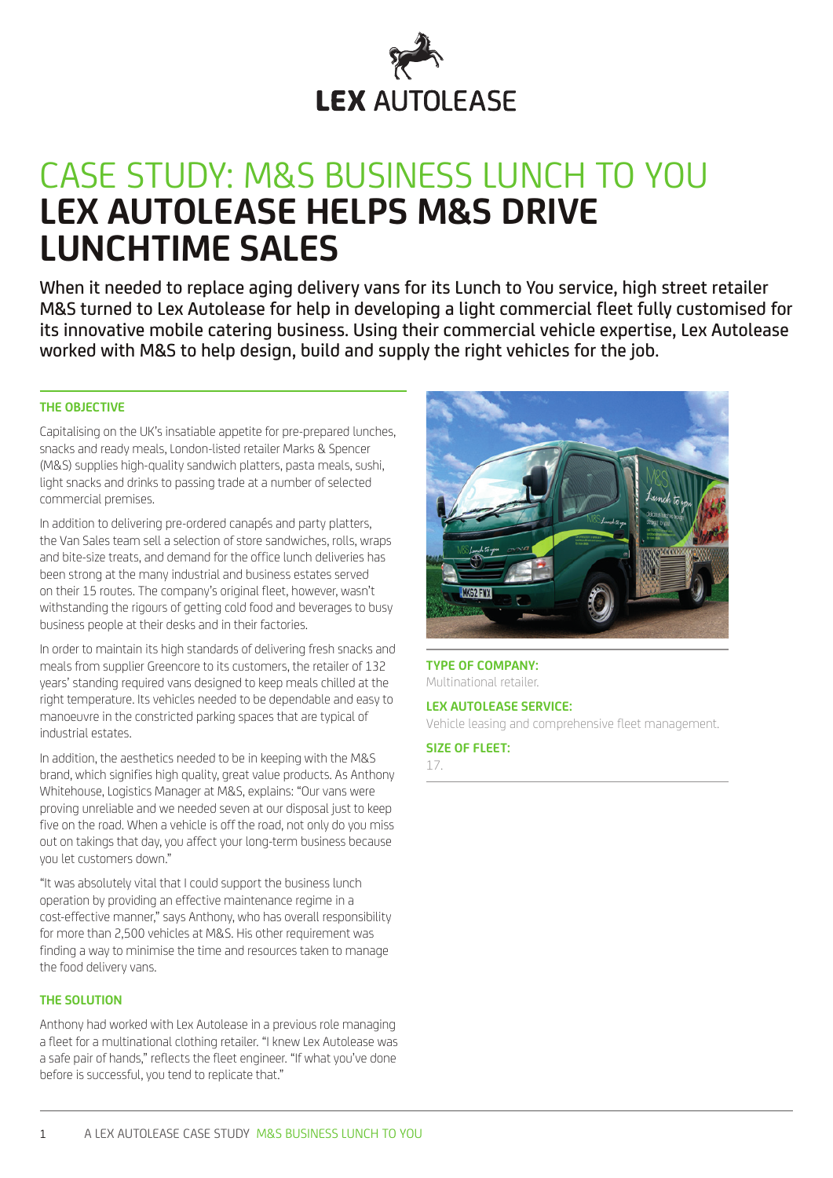

# CASE STUDY: M&S BUSINESS LUNCH TO YOU **LEX AUTOLEASE HELPS M&S DRIVE LUNCHTIME SALES**

When it needed to replace aging delivery vans for its Lunch to You service, high street retailer M&S turned to Lex Autolease for help in developing a light commercial fleet fully customised for its innovative mobile catering business. Using their commercial vehicle expertise, Lex Autolease worked with M&S to help design, build and supply the right vehicles for the job.

# **THE OBJECTIVE**

Capitalising on the UK's insatiable appetite for pre-prepared lunches, snacks and ready meals, London-listed retailer Marks & Spencer (M&S) supplies high-quality sandwich platters, pasta meals, sushi, light snacks and drinks to passing trade at a number of selected commercial premises.

In addition to delivering pre-ordered canapés and party platters, the Van Sales team sell a selection of store sandwiches, rolls, wraps and bite-size treats, and demand for the office lunch deliveries has been strong at the many industrial and business estates served on their 15 routes. The company's original fleet, however, wasn't withstanding the rigours of getting cold food and beverages to busy business people at their desks and in their factories.

In order to maintain its high standards of delivering fresh snacks and meals from supplier Greencore to its customers, the retailer of 132 years' standing required vans designed to keep meals chilled at the right temperature. Its vehicles needed to be dependable and easy to manoeuvre in the constricted parking spaces that are typical of industrial estates.

In addition, the aesthetics needed to be in keeping with the M&S brand, which signifies high quality, great value products. As Anthony Whitehouse, Logistics Manager at M&S, explains: "Our vans were proving unreliable and we needed seven at our disposal just to keep five on the road. When a vehicle is off the road, not only do you miss out on takings that day, you affect your long-term business because you let customers down."

"It was absolutely vital that I could support the business lunch operation by providing an effective maintenance regime in a cost-effective manner," says Anthony, who has overall responsibility for more than 2,500 vehicles at M&S. His other requirement was finding a way to minimise the time and resources taken to manage the food delivery vans.

#### **THE SOLUTION**

Anthony had worked with Lex Autolease in a previous role managing a fleet for a multinational clothing retailer. "I knew Lex Autolease was a safe pair of hands," reflects the fleet engineer. "If what you've done before is successful, you tend to replicate that."



## **TYPE OF COMPANY:** Multinational retailer.

# **LEX AUTOLEASE SERVICE:**

Vehicle leasing and comprehensive fleet management.

#### **SIZE OF FLEET:**

17.